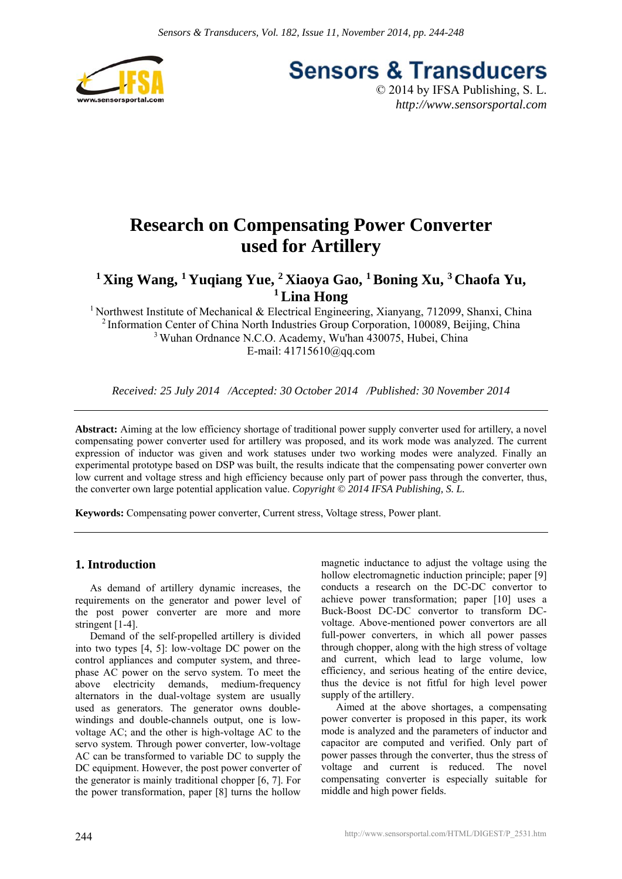

**Sensors & Transducers** © 2014 by IFSA Publishing, S. L.

*http://www.sensorsportal.com*

## **Research on Compensating Power Converter used for Artillery**

**1 Xing Wang, 1 Yuqiang Yue, 2 Xiaoya Gao, 1 Boning Xu, 3 Chaofa Yu, 1 Lina Hong** 

<sup>1</sup> Northwest Institute of Mechanical & Electrical Engineering, Xianyang, 712099, Shanxi, China 2 Information Center of China North Industries Group Corporation, 100089, Beijing, China 3 Wuhan Ordnance N.C.O. Academy, Wu'han 430075, Hubei, China E-mail: 41715610@qq.com

*Received: 25 July 2014 /Accepted: 30 October 2014 /Published: 30 November 2014* 

**Abstract:** Aiming at the low efficiency shortage of traditional power supply converter used for artillery, a novel compensating power converter used for artillery was proposed, and its work mode was analyzed. The current expression of inductor was given and work statuses under two working modes were analyzed. Finally an experimental prototype based on DSP was built, the results indicate that the compensating power converter own low current and voltage stress and high efficiency because only part of power pass through the converter, thus, the converter own large potential application value. *Copyright © 2014 IFSA Publishing, S. L.*

**Keywords:** Compensating power converter, Current stress, Voltage stress, Power plant.

#### **1. Introduction**

As demand of artillery dynamic increases, the requirements on the generator and power level of the post power converter are more and more stringent [1-4].

Demand of the self-propelled artillery is divided into two types [4, 5]: low-voltage DC power on the control appliances and computer system, and threephase AC power on the servo system. To meet the above electricity demands, medium-frequency alternators in the dual-voltage system are usually used as generators. The generator owns doublewindings and double-channels output, one is lowvoltage AC; and the other is high-voltage AC to the servo system. Through power converter, low-voltage AC can be transformed to variable DC to supply the DC equipment. However, the post power converter of the generator is mainly traditional chopper [6, 7]. For the power transformation, paper [8] turns the hollow

magnetic inductance to adjust the voltage using the hollow electromagnetic induction principle; paper [9] conducts a research on the DC-DC convertor to achieve power transformation; paper [10] uses a Buck-Boost DC-DC convertor to transform DCvoltage. Above-mentioned power convertors are all full-power converters, in which all power passes through chopper, along with the high stress of voltage and current, which lead to large volume, low efficiency, and serious heating of the entire device, thus the device is not fitful for high level power supply of the artillery.

Aimed at the above shortages, a compensating power converter is proposed in this paper, its work mode is analyzed and the parameters of inductor and capacitor are computed and verified. Only part of power passes through the converter, thus the stress of voltage and current is reduced. The novel compensating converter is especially suitable for middle and high power fields.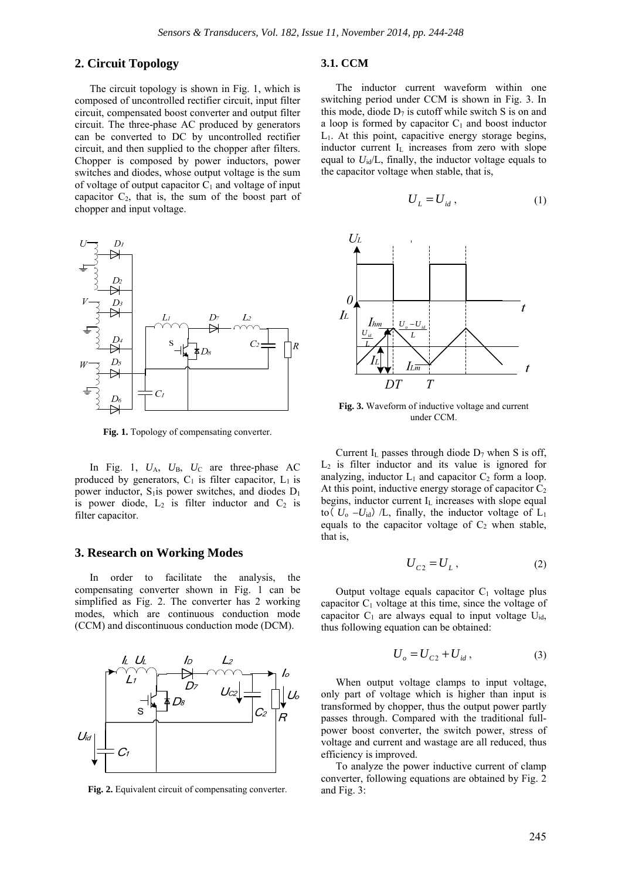#### **2. Circuit Topology**

The circuit topology is shown in Fig. 1, which is composed of uncontrolled rectifier circuit, input filter circuit, compensated boost converter and output filter circuit. The three-phase AC produced by generators can be converted to DC by uncontrolled rectifier circuit, and then supplied to the chopper after filters. Chopper is composed by power inductors, power switches and diodes, whose output voltage is the sum of voltage of output capacitor  $C_1$  and voltage of input capacitor  $C_2$ , that is, the sum of the boost part of chopper and input voltage.



**Fig. 1.** Topology of compensating converter.

In Fig. 1,  $U_A$ ,  $U_B$ ,  $U_C$  are three-phase AC produced by generators,  $C_1$  is filter capacitor,  $L_1$  is power inductor,  $S_1$  is power switches, and diodes  $D_1$ is power diode,  $L_2$  is filter inductor and  $C_2$  is filter capacitor.

#### **3. Research on Working Modes**

In order to facilitate the analysis, the compensating converter shown in Fig. 1 can be simplified as Fig. 2. The converter has 2 working modes, which are continuous conduction mode (CCM) and discontinuous conduction mode (DCM).



**Fig. 2.** Equivalent circuit of compensating converter.

#### **3.1. CCM**

The inductor current waveform within one switching period under CCM is shown in Fig. 3. In this mode, diode  $D_7$  is cutoff while switch S is on and a loop is formed by capacitor  $C_1$  and boost inductor L1. At this point, capacitive energy storage begins, inductor current I<sub>L</sub> increases from zero with slope equal to *U*id/L, finally, the inductor voltage equals to the capacitor voltage when stable, that is,

$$
U_L = U_{id} , \t\t(1)
$$



**Fig. 3.** Waveform of inductive voltage and current under CCM.

Current I<sub>L</sub> passes through diode  $D_7$  when S is off,  $L<sub>2</sub>$  is filter inductor and its value is ignored for analyzing, inductor  $L_1$  and capacitor  $C_2$  form a loop. At this point, inductive energy storage of capacitor  $C_2$ begins, inductor current  $I_L$  increases with slope equal to  $(U_0 - U_{\text{id}})$  /L, finally, the inductor voltage of L<sub>1</sub> equals to the capacitor voltage of  $C_2$  when stable, that is,

$$
U_{c2} = U_L, \t\t(2)
$$

Output voltage equals capacitor  $C_1$  voltage plus capacitor  $C_1$  voltage at this time, since the voltage of capacitor  $C_1$  are always equal to input voltage  $U_{id}$ , thus following equation can be obtained:

$$
U_o = U_{C2} + U_{id}, \t\t(3)
$$

When output voltage clamps to input voltage, only part of voltage which is higher than input is transformed by chopper, thus the output power partly passes through. Compared with the traditional fullpower boost converter, the switch power, stress of voltage and current and wastage are all reduced, thus efficiency is improved.

To analyze the power inductive current of clamp converter, following equations are obtained by Fig. 2 and Fig. 3: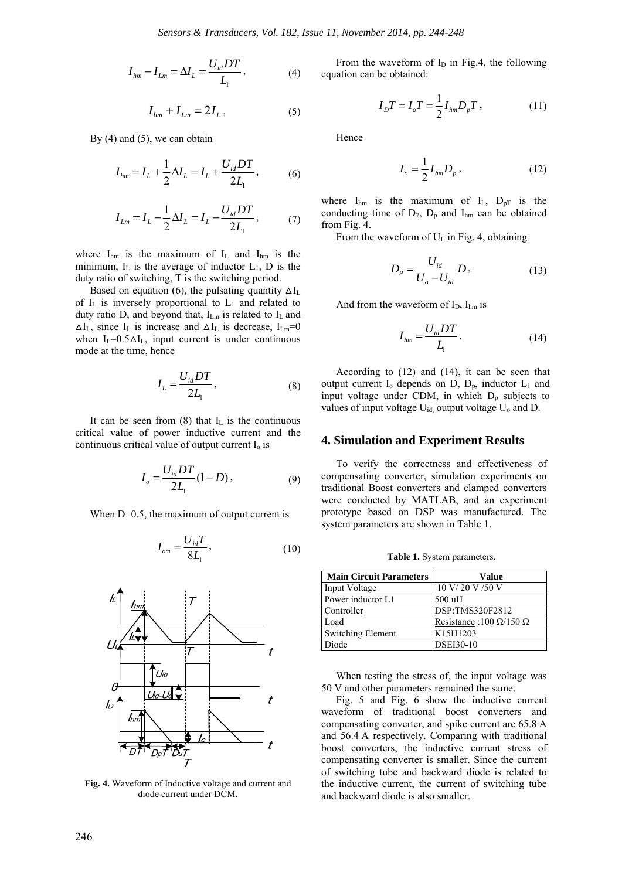$$
I_{hm} - I_{Lm} = \Delta I_L = \frac{U_{id}DT}{L_1},\tag{4}
$$

$$
I_{hm} + I_{Lm} = 2I_L, \qquad (5)
$$

By  $(4)$  and  $(5)$ , we can obtain

$$
I_{hm} = I_L + \frac{1}{2}\Delta I_L = I_L + \frac{U_{id}DT}{2L_1},
$$
 (6)

$$
I_{Lm} = I_L - \frac{1}{2}\Delta I_L = I_L - \frac{U_{id}DT}{2L_1},
$$
 (7)

where  $I_{hm}$  is the maximum of  $I_L$  and  $I_{hm}$  is the minimum,  $I_L$  is the average of inductor  $L_1$ ,  $D$  is the duty ratio of switching, T is the switching period.

Based on equation (6), the pulsating quantity  $\Delta I_L$ of  $I_L$  is inversely proportional to  $L_1$  and related to duty ratio D, and beyond that,  $I_{Lm}$  is related to  $I_L$  and  $\Delta I_L$ , since  $I_L$  is increase and  $\Delta I_L$  is decrease,  $I_{Lm}=0$ when  $I_{\text{L}}=0.5\Delta I_{\text{L}}$ , input current is under continuous mode at the time, hence

$$
I_L = \frac{U_{id}DT}{2L_1},\tag{8}
$$

It can be seen from  $(8)$  that I<sub>L</sub> is the continuous critical value of power inductive current and the continuous critical value of output current  $I_0$  is

$$
I_o = \frac{U_{id}DT}{2L_1}(1-D),
$$
\n(9)

When D=0.5, the maximum of output current is

$$
I_{om} = \frac{U_{id}T}{8L_1},\tag{10}
$$



**Fig. 4.** Waveform of Inductive voltage and current and diode current under DCM.

From the waveform of  $I_D$  in Fig.4, the following equation can be obtained:

$$
I_D T = I_o T = \frac{1}{2} I_{hm} D_p T , \qquad (11)
$$

Hence

$$
I_o = \frac{1}{2} I_{hm} D_p, \qquad (12)
$$

where  $I_{hm}$  is the maximum of  $I_L$ ,  $D_{pT}$  is the conducting time of  $D_7$ ,  $D_p$  and  $I_{hm}$  can be obtained from Fig. 4.

From the waveform of  $U_L$  in Fig. 4, obtaining

$$
D_{p} = \frac{U_{id}}{U_{o} - U_{id}} D, \qquad (13)
$$

And from the waveform of  $I_D$ ,  $I_{hm}$  is

$$
I_{lm} = \frac{U_{id}DT}{L_1},\tag{14}
$$

According to (12) and (14), it can be seen that output current  $I_0$  depends on  $D$ ,  $D_p$ , inductor  $L_1$  and input voltage under CDM, in which  $D_p$  subjects to values of input voltage U<sub>id,</sub> output voltage U<sub>o</sub> and D.

#### **4. Simulation and Experiment Results**

To verify the correctness and effectiveness of compensating converter, simulation experiments on traditional Boost converters and clamped converters were conducted by MATLAB, and an experiment prototype based on DSP was manufactured. The system parameters are shown in Table 1.

**Table 1.** System parameters.

| <b>Main Circuit Parameters</b> | Value                                  |
|--------------------------------|----------------------------------------|
| Input Voltage                  | 10 V/20 V/50 V                         |
| Power inductor L1              | 500 uH                                 |
| Controller                     | DSP:TMS320F2812                        |
| Load                           | Resistance: 100 $\Omega$ /150 $\Omega$ |
| <b>Switching Element</b>       | K15H1203                               |
| Diode                          | <b>DSEI30-10</b>                       |

When testing the stress of, the input voltage was 50 V and other parameters remained the same.

Fig. 5 and Fig. 6 show the inductive current waveform of traditional boost converters and compensating converter, and spike current are 65.8 A and 56.4 A respectively. Comparing with traditional boost converters, the inductive current stress of compensating converter is smaller. Since the current of switching tube and backward diode is related to the inductive current, the current of switching tube and backward diode is also smaller.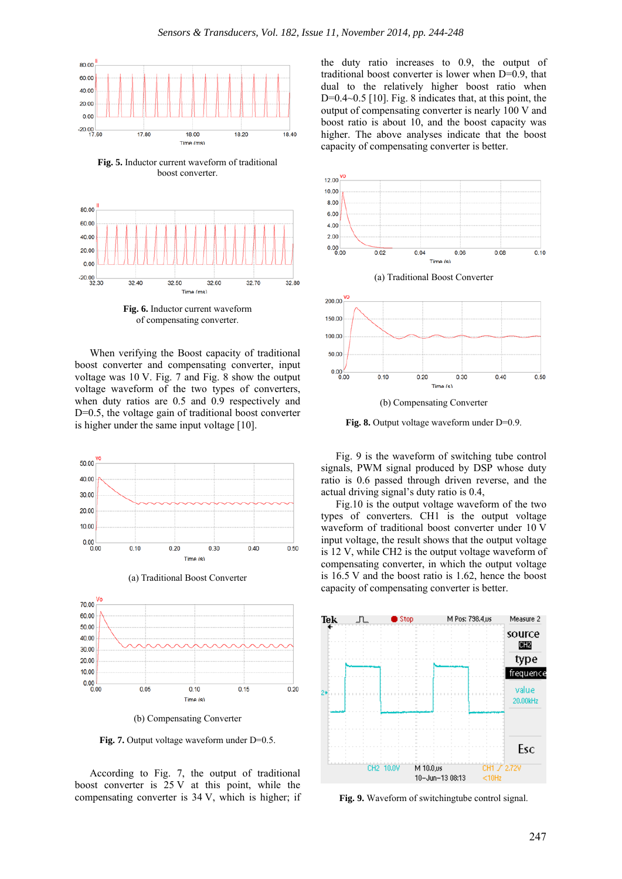

**Fig. 5.** Inductor current waveform of traditional boost converter.



**Fig. 6.** Inductor current waveform of compensating converter.

When verifying the Boost capacity of traditional boost converter and compensating converter, input voltage was 10 V. Fig. 7 and Fig. 8 show the output voltage waveform of the two types of converters, when duty ratios are 0.5 and 0.9 respectively and D=0.5, the voltage gain of traditional boost converter is higher under the same input voltage [10].







(b) Compensating Converter

Fig. 7. Output voltage waveform under D=0.5.

According to Fig. 7, the output of traditional boost converter is 25 V at this point, while the compensating converter is 34 V, which is higher; if the duty ratio increases to 0.9, the output of traditional boost converter is lower when D=0.9, that dual to the relatively higher boost ratio when  $D=0.4~0.5$  [10]. Fig. 8 indicates that, at this point, the output of compensating converter is nearly 100 V and boost ratio is about 10, and the boost capacity was higher. The above analyses indicate that the boost capacity of compensating converter is better.



**Fig. 8.** Output voltage waveform under D=0.9.

Fig. 9 is the waveform of switching tube control signals, PWM signal produced by DSP whose duty ratio is 0.6 passed through driven reverse, and the actual driving signal's duty ratio is 0.4,

Fig.10 is the output voltage waveform of the two types of converters. CH1 is the output voltage waveform of traditional boost converter under 10 V input voltage, the result shows that the output voltage is 12 V, while CH2 is the output voltage waveform of compensating converter, in which the output voltage is 16.5 V and the boost ratio is 1.62, hence the boost capacity of compensating converter is better.



**Fig. 9.** Waveform of switchingtube control signal.